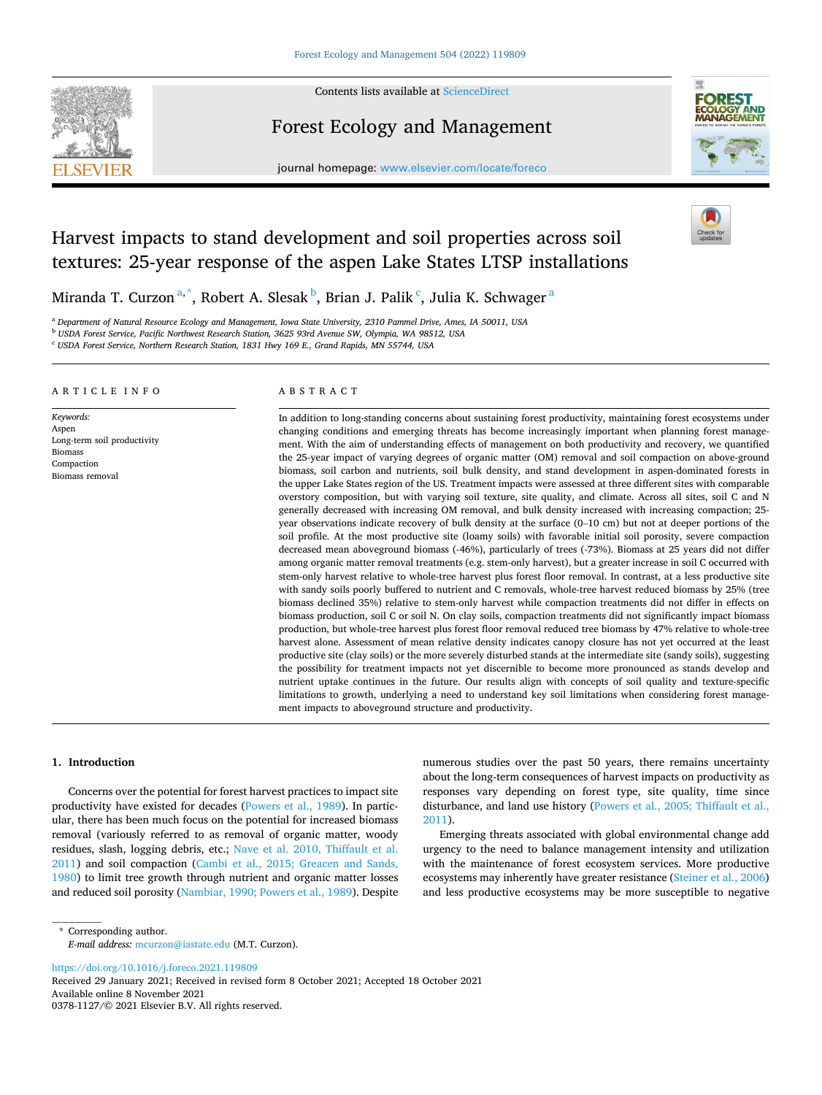

Contents lists available at [ScienceDirect](www.sciencedirect.com/science/journal/03781127)

# Forest Ecology and Management



journal homepage: [www.elsevier.com/locate/foreco](https://www.elsevier.com/locate/foreco)

# Harvest impacts to stand development and soil properties across soil textures: 25-year response of the aspen Lake States LTSP installations

Miranda T. Curzon $^{\mathrm{a},\mathrm{*}}$ , Robert A. Slesak $^{\mathrm{b}}$ , Brian J. Palik $^{\mathrm{c}}$ , Julia K. Schwager $^{\mathrm{a}}$ 

<sup>a</sup> *Department of Natural Resource Ecology and Management, Iowa State University, 2310 Pammel Drive, Ames, IA 50011, USA* 

<sup>b</sup> *USDA Forest Service, Pacific Northwest Research Station, 3625 93rd Avenue SW, Olympia, WA 98512, USA* 

<sup>c</sup> *USDA Forest Service, Northern Research Station, 1831 Hwy 169 E., Grand Rapids, MN 55744, USA* 

### ARTICLE INFO

*Keywords:*  Aspen Long-term soil productivity Biomass Compaction Biomass removal

# ABSTRACT

In addition to long-standing concerns about sustaining forest productivity, maintaining forest ecosystems under changing conditions and emerging threats has become increasingly important when planning forest management. With the aim of understanding effects of management on both productivity and recovery, we quantified the 25-year impact of varying degrees of organic matter (OM) removal and soil compaction on above-ground biomass, soil carbon and nutrients, soil bulk density, and stand development in aspen-dominated forests in the upper Lake States region of the US. Treatment impacts were assessed at three different sites with comparable overstory composition, but with varying soil texture, site quality, and climate. Across all sites, soil C and N generally decreased with increasing OM removal, and bulk density increased with increasing compaction; 25 year observations indicate recovery of bulk density at the surface (0–10 cm) but not at deeper portions of the soil profile. At the most productive site (loamy soils) with favorable initial soil porosity, severe compaction decreased mean aboveground biomass (-46%), particularly of trees (-73%). Biomass at 25 years did not differ among organic matter removal treatments (e.g. stem-only harvest), but a greater increase in soil C occurred with stem-only harvest relative to whole-tree harvest plus forest floor removal. In contrast, at a less productive site with sandy soils poorly buffered to nutrient and C removals, whole-tree harvest reduced biomass by 25% (tree biomass declined 35%) relative to stem-only harvest while compaction treatments did not differ in effects on biomass production, soil C or soil N. On clay soils, compaction treatments did not significantly impact biomass production, but whole-tree harvest plus forest floor removal reduced tree biomass by 47% relative to whole-tree harvest alone. Assessment of mean relative density indicates canopy closure has not yet occurred at the least productive site (clay soils) or the more severely disturbed stands at the intermediate site (sandy soils), suggesting the possibility for treatment impacts not yet discernible to become more pronounced as stands develop and nutrient uptake continues in the future. Our results align with concepts of soil quality and texture-specific limitations to growth, underlying a need to understand key soil limitations when considering forest management impacts to aboveground structure and productivity.

# **1. Introduction**

Concerns over the potential for forest harvest practices to impact site productivity have existed for decades ([Powers et al., 1989](#page-9-0)). In particular, there has been much focus on the potential for increased biomass removal (variously referred to as removal of organic matter, woody residues, slash, logging debris, etc.; [Nave et al. 2010, Thiffault et al.](#page-9-0)  [2011\)](#page-9-0) and soil compaction [\(Cambi et al., 2015; Greacen and Sands,](#page-8-0)  [1980\)](#page-8-0) to limit tree growth through nutrient and organic matter losses and reduced soil porosity [\(Nambiar, 1990; Powers et al., 1989](#page-9-0)). Despite numerous studies over the past 50 years, there remains uncertainty about the long-term consequences of harvest impacts on productivity as responses vary depending on forest type, site quality, time since disturbance, and land use history ([Powers et al., 2005; Thiffault et al.,](#page-9-0)  [2011\)](#page-9-0).

Emerging threats associated with global environmental change add urgency to the need to balance management intensity and utilization with the maintenance of forest ecosystem services. More productive ecosystems may inherently have greater resistance [\(Steiner et al., 2006\)](#page-9-0) and less productive ecosystems may be more susceptible to negative

\* Corresponding author. *E-mail address:* [mcurzon@iastate.edu](mailto:mcurzon@iastate.edu) (M.T. Curzon).

<https://doi.org/10.1016/j.foreco.2021.119809>

Available online 8 November 2021 0378-1127/© 2021 Elsevier B.V. All rights reserved. Received 29 January 2021; Received in revised form 8 October 2021; Accepted 18 October 2021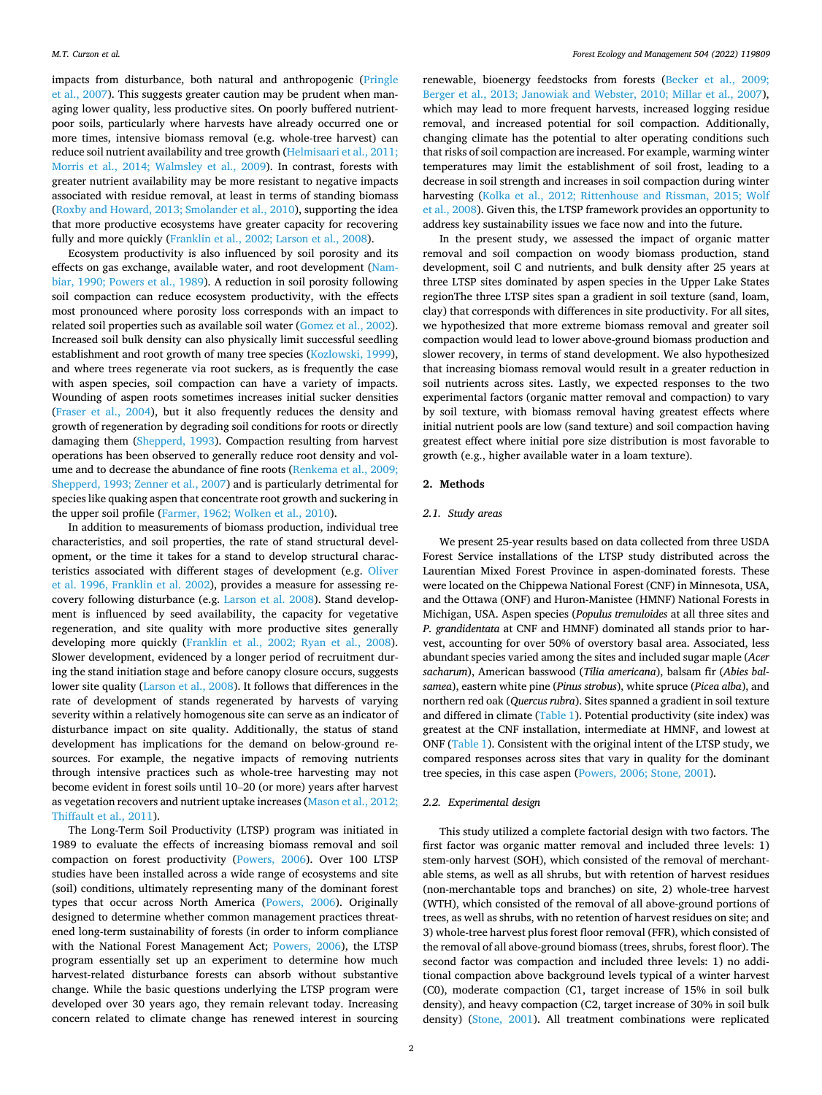impacts from disturbance, both natural and anthropogenic ([Pringle](#page-9-0)  [et al., 2007\)](#page-9-0). This suggests greater caution may be prudent when managing lower quality, less productive sites. On poorly buffered nutrientpoor soils, particularly where harvests have already occurred one or more times, intensive biomass removal (e.g. whole-tree harvest) can reduce soil nutrient availability and tree growth ([Helmisaari et al., 2011;](#page-8-0)  [Morris et al., 2014; Walmsley et al., 2009\)](#page-8-0). In contrast, forests with greater nutrient availability may be more resistant to negative impacts associated with residue removal, at least in terms of standing biomass ([Roxby and Howard, 2013; Smolander et al., 2010\)](#page-9-0), supporting the idea that more productive ecosystems have greater capacity for recovering fully and more quickly [\(Franklin et al., 2002; Larson et al., 2008](#page-8-0)).

Ecosystem productivity is also influenced by soil porosity and its effects on gas exchange, available water, and root development ([Nam](#page-9-0)[biar, 1990; Powers et al., 1989\)](#page-9-0). A reduction in soil porosity following soil compaction can reduce ecosystem productivity, with the effects most pronounced where porosity loss corresponds with an impact to related soil properties such as available soil water [\(Gomez et al., 2002](#page-8-0)). Increased soil bulk density can also physically limit successful seedling establishment and root growth of many tree species [\(Kozlowski, 1999](#page-8-0)), and where trees regenerate via root suckers, as is frequently the case with aspen species, soil compaction can have a variety of impacts. Wounding of aspen roots sometimes increases initial sucker densities ([Fraser et al., 2004](#page-8-0)), but it also frequently reduces the density and growth of regeneration by degrading soil conditions for roots or directly damaging them [\(Shepperd, 1993\)](#page-9-0). Compaction resulting from harvest operations has been observed to generally reduce root density and volume and to decrease the abundance of fine roots [\(Renkema et al., 2009;](#page-9-0)  [Shepperd, 1993; Zenner et al., 2007\)](#page-9-0) and is particularly detrimental for species like quaking aspen that concentrate root growth and suckering in the upper soil profile [\(Farmer, 1962; Wolken et al., 2010](#page-8-0)).

In addition to measurements of biomass production, individual tree characteristics, and soil properties, the rate of stand structural development, or the time it takes for a stand to develop structural characteristics associated with different stages of development (e.g. [Oliver](#page-9-0)  [et al. 1996, Franklin et al. 2002](#page-9-0)), provides a measure for assessing recovery following disturbance (e.g. [Larson et al. 2008\)](#page-8-0). Stand development is influenced by seed availability, the capacity for vegetative regeneration, and site quality with more productive sites generally developing more quickly [\(Franklin et al., 2002; Ryan et al., 2008](#page-8-0)). Slower development, evidenced by a longer period of recruitment during the stand initiation stage and before canopy closure occurs, suggests lower site quality ([Larson et al., 2008](#page-8-0)). It follows that differences in the rate of development of stands regenerated by harvests of varying severity within a relatively homogenous site can serve as an indicator of disturbance impact on site quality. Additionally, the status of stand development has implications for the demand on below-ground resources. For example, the negative impacts of removing nutrients through intensive practices such as whole-tree harvesting may not become evident in forest soils until 10–20 (or more) years after harvest as vegetation recovers and nutrient uptake increases [\(Mason et al., 2012;](#page-9-0)  [Thiffault et al., 2011\)](#page-9-0).

The Long-Term Soil Productivity (LTSP) program was initiated in 1989 to evaluate the effects of increasing biomass removal and soil compaction on forest productivity ([Powers, 2006\)](#page-9-0). Over 100 LTSP studies have been installed across a wide range of ecosystems and site (soil) conditions, ultimately representing many of the dominant forest types that occur across North America ([Powers, 2006](#page-9-0)). Originally designed to determine whether common management practices threatened long-term sustainability of forests (in order to inform compliance with the National Forest Management Act; [Powers, 2006](#page-9-0)), the LTSP program essentially set up an experiment to determine how much harvest-related disturbance forests can absorb without substantive change. While the basic questions underlying the LTSP program were developed over 30 years ago, they remain relevant today. Increasing concern related to climate change has renewed interest in sourcing

renewable, bioenergy feedstocks from forests [\(Becker et al., 2009;](#page-8-0)  [Berger et al., 2013; Janowiak and Webster, 2010; Millar et al., 2007](#page-8-0)), which may lead to more frequent harvests, increased logging residue removal, and increased potential for soil compaction. Additionally, changing climate has the potential to alter operating conditions such that risks of soil compaction are increased. For example, warming winter temperatures may limit the establishment of soil frost, leading to a decrease in soil strength and increases in soil compaction during winter harvesting ([Kolka et al., 2012; Rittenhouse and Rissman, 2015; Wolf](#page-8-0)  [et al., 2008\)](#page-8-0). Given this, the LTSP framework provides an opportunity to address key sustainability issues we face now and into the future.

In the present study, we assessed the impact of organic matter removal and soil compaction on woody biomass production, stand development, soil C and nutrients, and bulk density after 25 years at three LTSP sites dominated by aspen species in the Upper Lake States regionThe three LTSP sites span a gradient in soil texture (sand, loam, clay) that corresponds with differences in site productivity. For all sites, we hypothesized that more extreme biomass removal and greater soil compaction would lead to lower above-ground biomass production and slower recovery, in terms of stand development. We also hypothesized that increasing biomass removal would result in a greater reduction in soil nutrients across sites. Lastly, we expected responses to the two experimental factors (organic matter removal and compaction) to vary by soil texture, with biomass removal having greatest effects where initial nutrient pools are low (sand texture) and soil compaction having greatest effect where initial pore size distribution is most favorable to growth (e.g., higher available water in a loam texture).

### **2. Methods**

### *2.1. Study areas*

We present 25-year results based on data collected from three USDA Forest Service installations of the LTSP study distributed across the Laurentian Mixed Forest Province in aspen-dominated forests. These were located on the Chippewa National Forest (CNF) in Minnesota, USA, and the Ottawa (ONF) and Huron-Manistee (HMNF) National Forests in Michigan, USA. Aspen species (*Populus tremuloides* at all three sites and *P. grandidentata* at CNF and HMNF) dominated all stands prior to harvest, accounting for over 50% of overstory basal area. Associated, less abundant species varied among the sites and included sugar maple (*Acer sacharum*), American basswood (*Tilia americana*), balsam fir (*Abies balsamea*), eastern white pine (*Pinus strobus*), white spruce (*Picea alba*), and northern red oak (*Quercus rubra*). Sites spanned a gradient in soil texture and differed in climate ([Table 1\)](#page-2-0). Potential productivity (site index) was greatest at the CNF installation, intermediate at HMNF, and lowest at ONF [\(Table 1](#page-2-0)). Consistent with the original intent of the LTSP study, we compared responses across sites that vary in quality for the dominant tree species, in this case aspen [\(Powers, 2006; Stone, 2001](#page-9-0)).

### *2.2. Experimental design*

This study utilized a complete factorial design with two factors. The first factor was organic matter removal and included three levels: 1) stem-only harvest (SOH), which consisted of the removal of merchantable stems, as well as all shrubs, but with retention of harvest residues (non-merchantable tops and branches) on site, 2) whole-tree harvest (WTH), which consisted of the removal of all above-ground portions of trees, as well as shrubs, with no retention of harvest residues on site; and 3) whole-tree harvest plus forest floor removal (FFR), which consisted of the removal of all above-ground biomass (trees, shrubs, forest floor). The second factor was compaction and included three levels: 1) no additional compaction above background levels typical of a winter harvest (C0), moderate compaction (C1, target increase of 15% in soil bulk density), and heavy compaction (C2, target increase of 30% in soil bulk density) [\(Stone, 2001\)](#page-9-0). All treatment combinations were replicated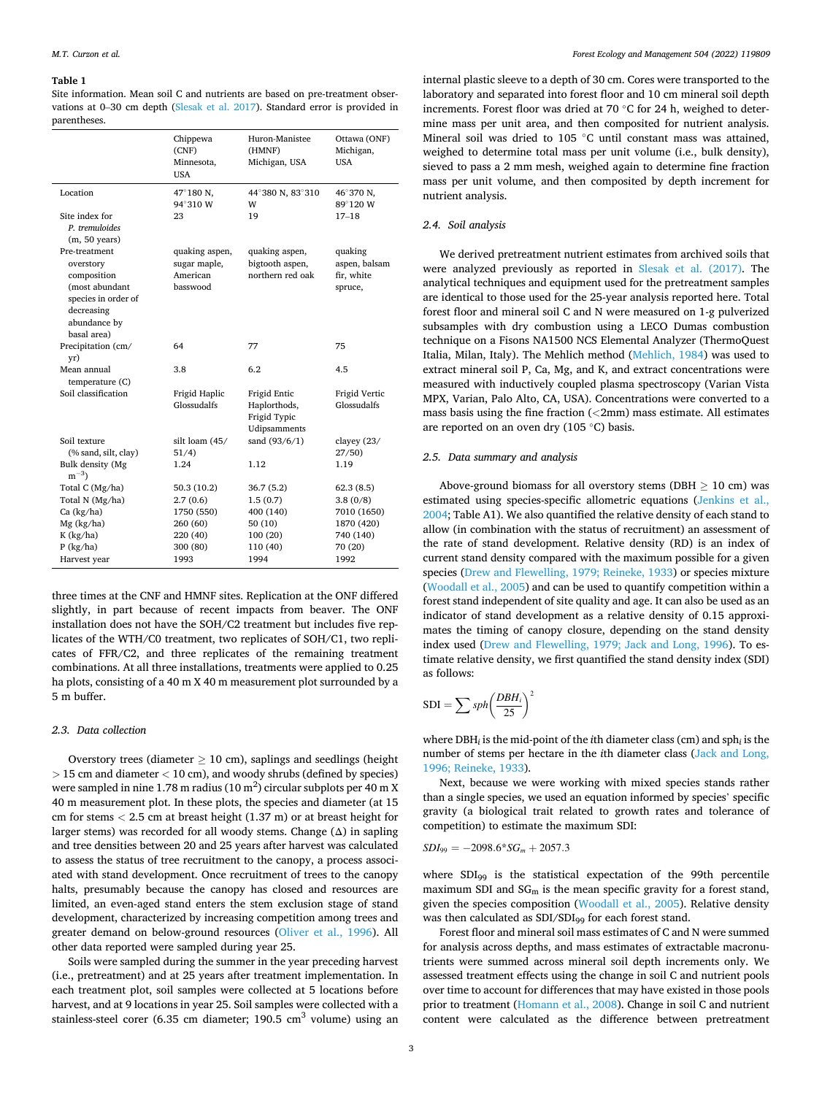#### <span id="page-2-0"></span>**Table 1**

Site information. Mean soil C and nutrients are based on pre-treatment observations at 0–30 cm depth [\(Slesak et al. 2017](#page-9-0)). Standard error is provided in parentheses.

|                                                                                                                                 | Chippewa<br>(CNF)<br>Minnesota,<br><b>USA</b>          | Huron-Manistee<br>(HMNF)<br>Michigan, USA                    | Ottawa (ONF)<br>Michigan,<br><b>USA</b>           |
|---------------------------------------------------------------------------------------------------------------------------------|--------------------------------------------------------|--------------------------------------------------------------|---------------------------------------------------|
| Location                                                                                                                        | 47°180 N,<br>94°310 W                                  | 44°380 N, 83°310<br>W                                        | 46°370 N,<br>89°120 W                             |
| Site index for<br>P. tremuloides<br>$(m, 50 \text{ years})$                                                                     | 23                                                     | 19                                                           | $17 - 18$                                         |
| Pre-treatment<br>overstory<br>composition<br>(most abundant<br>species in order of<br>decreasing<br>abundance by<br>basal area) | quaking aspen,<br>sugar maple,<br>American<br>basswood | quaking aspen,<br>bigtooth aspen,<br>northern red oak        | quaking<br>aspen, balsam<br>fir, white<br>spruce, |
| Precipitation (cm/<br>yr)                                                                                                       | 64                                                     | 77                                                           | 75                                                |
| Mean annual<br>temperature(C)                                                                                                   | 3.8                                                    | 6.2                                                          | 4.5                                               |
| Soil classification                                                                                                             | Frigid Haplic<br>Glossudalfs                           | Frigid Entic<br>Haplorthods,<br>Frigid Typic<br>Udipsamments | Frigid Vertic<br>Glossudalfs                      |
| Soil texture<br>(% sand, silt, clay)                                                                                            | silt loam (45/<br>51/4)                                | sand (93/6/1)                                                | clayey $(23/$<br>27/50                            |
| Bulk density (Mg<br>$m^{-3}$                                                                                                    | 1.24                                                   | 1.12                                                         | 1.19                                              |
| Total C (Mg/ha)<br>Total N (Mg/ha)                                                                                              | 50.3(10.2)<br>2.7(0.6)                                 | 36.7 (5.2)<br>1.5(0.7)                                       | 62.3(8.5)<br>3.8(0/8)                             |
| Ca (kg/ha)<br>Mg (kg/ha)                                                                                                        | 1750 (550)<br>260 (60)                                 | 400 (140)<br>50(10)                                          | 7010 (1650)<br>1870 (420)                         |
| $K$ (kg/ha)                                                                                                                     | 220 (40)                                               | 100 (20)                                                     | 740 (140)                                         |
|                                                                                                                                 |                                                        |                                                              |                                                   |
| $P$ (kg/ha)<br>Harvest year                                                                                                     | 300 (80)<br>1993                                       | 110 (40)<br>1994                                             | 70 (20)<br>1992                                   |

three times at the CNF and HMNF sites. Replication at the ONF differed slightly, in part because of recent impacts from beaver. The ONF installation does not have the SOH/C2 treatment but includes five replicates of the WTH/C0 treatment, two replicates of SOH/C1, two replicates of FFR/C2, and three replicates of the remaining treatment combinations. At all three installations, treatments were applied to 0.25 ha plots, consisting of a 40 m X 40 m measurement plot surrounded by a 5 m buffer.

## *2.3. Data collection*

Overstory trees (diameter  $\geq 10$  cm), saplings and seedlings (height *>* 15 cm and diameter *<* 10 cm), and woody shrubs (defined by species) were sampled in nine 1.78 m radius (10 m<sup>2</sup>) circular subplots per 40 m X 40 m measurement plot. In these plots, the species and diameter (at 15 cm for stems *<* 2.5 cm at breast height (1.37 m) or at breast height for larger stems) was recorded for all woody stems. Change (Δ) in sapling and tree densities between 20 and 25 years after harvest was calculated to assess the status of tree recruitment to the canopy, a process associated with stand development. Once recruitment of trees to the canopy halts, presumably because the canopy has closed and resources are limited, an even-aged stand enters the stem exclusion stage of stand development, characterized by increasing competition among trees and greater demand on below-ground resources [\(Oliver et al., 1996\)](#page-9-0). All other data reported were sampled during year 25.

Soils were sampled during the summer in the year preceding harvest (i.e., pretreatment) and at 25 years after treatment implementation. In each treatment plot, soil samples were collected at 5 locations before harvest, and at 9 locations in year 25. Soil samples were collected with a stainless-steel corer (6.35 cm diameter;  $190.5 \text{ cm}^3$  volume) using an

internal plastic sleeve to a depth of 30 cm. Cores were transported to the laboratory and separated into forest floor and 10 cm mineral soil depth increments. Forest floor was dried at 70 ◦C for 24 h, weighed to determine mass per unit area, and then composited for nutrient analysis. Mineral soil was dried to 105 ◦C until constant mass was attained, weighed to determine total mass per unit volume (i.e., bulk density), sieved to pass a 2 mm mesh, weighed again to determine fine fraction mass per unit volume, and then composited by depth increment for nutrient analysis.

# *2.4. Soil analysis*

We derived pretreatment nutrient estimates from archived soils that were analyzed previously as reported in [Slesak et al. \(2017\).](#page-9-0) The analytical techniques and equipment used for the pretreatment samples are identical to those used for the 25-year analysis reported here. Total forest floor and mineral soil C and N were measured on 1-g pulverized subsamples with dry combustion using a LECO Dumas combustion technique on a Fisons NA1500 NCS Elemental Analyzer (ThermoQuest Italia, Milan, Italy). The Mehlich method ([Mehlich, 1984\)](#page-9-0) was used to extract mineral soil P, Ca, Mg, and K, and extract concentrations were measured with inductively coupled plasma spectroscopy (Varian Vista MPX, Varian, Palo Alto, CA, USA). Concentrations were converted to a mass basis using the fine fraction (*<*2mm) mass estimate. All estimates are reported on an oven dry (105 ◦C) basis.

# *2.5. Data summary and analysis*

Above-ground biomass for all overstory stems (DBH  $> 10$  cm) was estimated using species-specific allometric equations ([Jenkins et al.,](#page-8-0)  [2004;](#page-8-0) Table A1). We also quantified the relative density of each stand to allow (in combination with the status of recruitment) an assessment of the rate of stand development. Relative density (RD) is an index of current stand density compared with the maximum possible for a given species ([Drew and Flewelling, 1979; Reineke, 1933\)](#page-8-0) or species mixture ([Woodall et al., 2005\)](#page-9-0) and can be used to quantify competition within a forest stand independent of site quality and age. It can also be used as an indicator of stand development as a relative density of 0.15 approximates the timing of canopy closure, depending on the stand density index used ([Drew and Flewelling, 1979; Jack and Long, 1996](#page-8-0)). To estimate relative density, we first quantified the stand density index (SDI) as follows:

$$
SDI = \sum sph \left(\frac{DBH_i}{25}\right)^2
$$

where DBH*i* is the mid-point of the *i*th diameter class (cm) and sph*i* is the number of stems per hectare in the *i*th diameter class ([Jack and Long,](#page-8-0)  [1996; Reineke, 1933\)](#page-8-0).

Next, because we were working with mixed species stands rather than a single species, we used an equation informed by species' specific gravity (a biological trait related to growth rates and tolerance of competition) to estimate the maximum SDI:

$$
SDI_{99} = -2098.6 \times SG_m + 2057.3
$$

where SDI99 is the statistical expectation of the 99th percentile maximum SDI and  $SG<sub>m</sub>$  is the mean specific gravity for a forest stand, given the species composition [\(Woodall et al., 2005\)](#page-9-0). Relative density was then calculated as SDI/SDI<sub>99</sub> for each forest stand.

Forest floor and mineral soil mass estimates of C and N were summed for analysis across depths, and mass estimates of extractable macronutrients were summed across mineral soil depth increments only. We assessed treatment effects using the change in soil C and nutrient pools over time to account for differences that may have existed in those pools prior to treatment [\(Homann et al., 2008](#page-8-0)). Change in soil C and nutrient content were calculated as the difference between pretreatment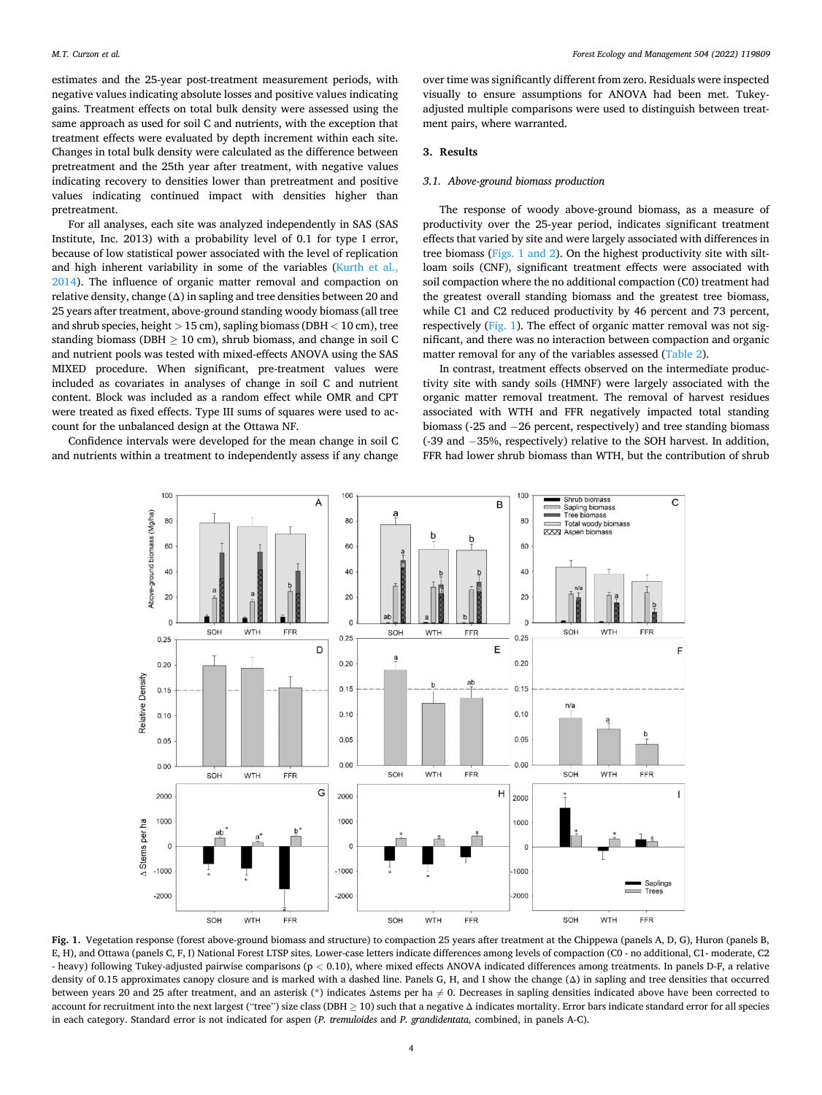<span id="page-3-0"></span>estimates and the 25-year post-treatment measurement periods, with negative values indicating absolute losses and positive values indicating gains. Treatment effects on total bulk density were assessed using the same approach as used for soil C and nutrients, with the exception that treatment effects were evaluated by depth increment within each site. Changes in total bulk density were calculated as the difference between pretreatment and the 25th year after treatment, with negative values indicating recovery to densities lower than pretreatment and positive values indicating continued impact with densities higher than pretreatment.

For all analyses, each site was analyzed independently in SAS (SAS Institute, Inc. 2013) with a probability level of 0.1 for type I error, because of low statistical power associated with the level of replication and high inherent variability in some of the variables ([Kurth et al.,](#page-8-0)  [2014\)](#page-8-0). The influence of organic matter removal and compaction on relative density, change  $(\Delta)$  in sapling and tree densities between 20 and 25 years after treatment, above-ground standing woody biomass (all tree and shrub species, height *>* 15 cm), sapling biomass (DBH *<* 10 cm), tree standing biomass (DBH  $> 10$  cm), shrub biomass, and change in soil C and nutrient pools was tested with mixed-effects ANOVA using the SAS MIXED procedure. When significant, pre-treatment values were included as covariates in analyses of change in soil C and nutrient content. Block was included as a random effect while OMR and CPT were treated as fixed effects. Type III sums of squares were used to account for the unbalanced design at the Ottawa NF.

Confidence intervals were developed for the mean change in soil C and nutrients within a treatment to independently assess if any change

over time was significantly different from zero. Residuals were inspected visually to ensure assumptions for ANOVA had been met. Tukeyadjusted multiple comparisons were used to distinguish between treatment pairs, where warranted.

# **3. Results**

### *3.1. Above-ground biomass production*

The response of woody above-ground biomass, as a measure of productivity over the 25-year period, indicates significant treatment effects that varied by site and were largely associated with differences in tree biomass (Figs. 1 and 2). On the highest productivity site with siltloam soils (CNF), significant treatment effects were associated with soil compaction where the no additional compaction (C0) treatment had the greatest overall standing biomass and the greatest tree biomass, while C1 and C2 reduced productivity by 46 percent and 73 percent, respectively (Fig. 1). The effect of organic matter removal was not significant, and there was no interaction between compaction and organic matter removal for any of the variables assessed ([Table 2\)](#page-4-0).

In contrast, treatment effects observed on the intermediate productivity site with sandy soils (HMNF) were largely associated with the organic matter removal treatment. The removal of harvest residues associated with WTH and FFR negatively impacted total standing biomass (-25 and − 26 percent, respectively) and tree standing biomass (-39 and − 35%, respectively) relative to the SOH harvest. In addition, FFR had lower shrub biomass than WTH, but the contribution of shrub



**Fig. 1.** Vegetation response (forest above-ground biomass and structure) to compaction 25 years after treatment at the Chippewa (panels A, D, G), Huron (panels B, E, H), and Ottawa (panels C, F, I) National Forest LTSP sites. Lower-case letters indicate differences among levels of compaction (C0 - no additional, C1- moderate, C2 - heavy) following Tukey-adjusted pairwise comparisons (p *<* 0.10), where mixed effects ANOVA indicated differences among treatments. In panels D-F, a relative density of 0.15 approximates canopy closure and is marked with a dashed line. Panels G, H, and I show the change (Δ) in sapling and tree densities that occurred between years 20 and 25 after treatment, and an asterisk (\*) indicates Δstems per ha  $\neq$  0. Decreases in sapling densities indicated above have been corrected to account for recruitment into the next largest ("tree") size class (DBH ≥ 10) such that a negative Δ indicates mortality. Error bars indicate standard error for all species in each category. Standard error is not indicated for aspen (*P. tremuloides* and *P. grandidentata,* combined, in panels A-C).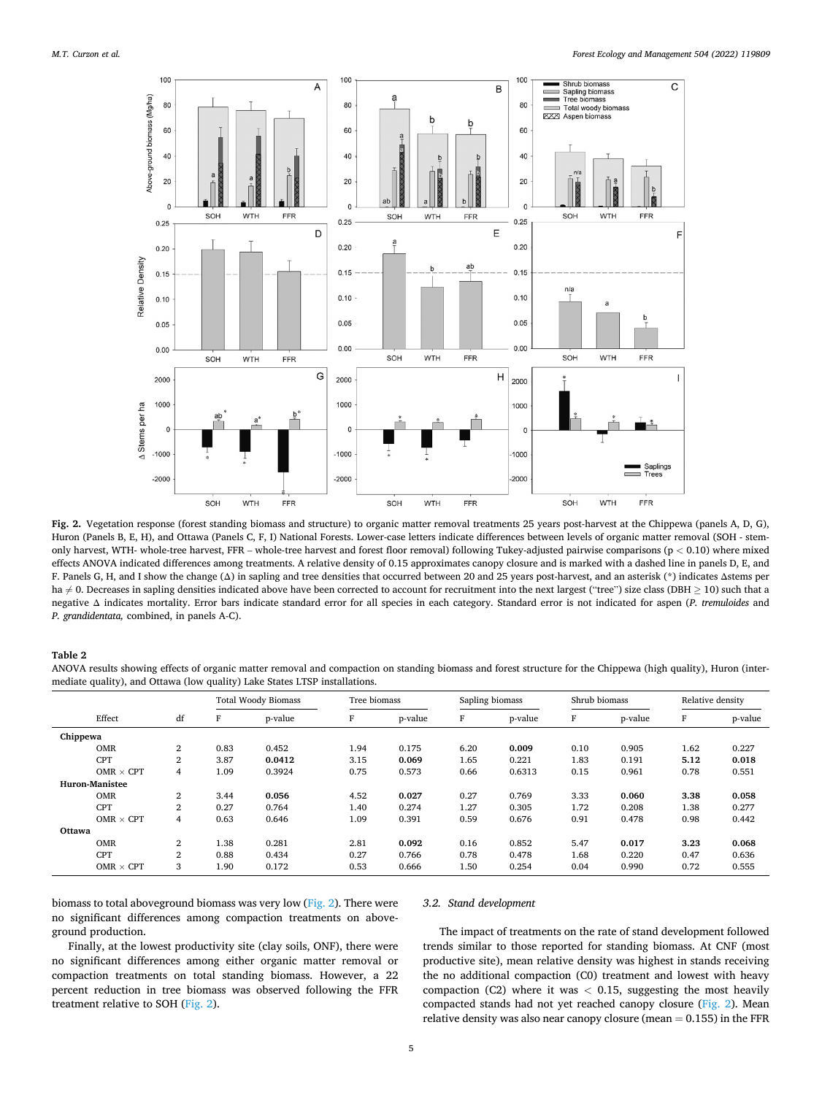<span id="page-4-0"></span>

**Fig. 2.** Vegetation response (forest standing biomass and structure) to organic matter removal treatments 25 years post-harvest at the Chippewa (panels A, D, G), Huron (Panels B, E, H), and Ottawa (Panels C, F, I) National Forests. Lower-case letters indicate differences between levels of organic matter removal (SOH - stemonly harvest, WTH- whole-tree harvest, FFR – whole-tree harvest and forest floor removal) following Tukey-adjusted pairwise comparisons (p *<* 0.10) where mixed effects ANOVA indicated differences among treatments. A relative density of 0.15 approximates canopy closure and is marked with a dashed line in panels D, E, and F. Panels G, H, and I show the change (Δ) in sapling and tree densities that occurred between 20 and 25 years post-harvest, and an asterisk (\*) indicates Δstems per ha ≠ 0. Decreases in sapling densities indicated above have been corrected to account for recruitment into the next largest ("tree") size class (DBH ≥ 10) such that a negative Δ indicates mortality. Error bars indicate standard error for all species in each category. Standard error is not indicated for aspen (*P. tremuloides* and *P. grandidentata,* combined, in panels A-C).

# **Table 2**

ANOVA results showing effects of organic matter removal and compaction on standing biomass and forest structure for the Chippewa (high quality), Huron (intermediate quality), and Ottawa (low quality) Lake States LTSP installations.

|          |                       |                |      | <b>Total Woody Biomass</b> | Tree biomass |         | Sapling biomass |         | Shrub biomass |         | Relative density |         |
|----------|-----------------------|----------------|------|----------------------------|--------------|---------|-----------------|---------|---------------|---------|------------------|---------|
|          | Effect                | df             | F    | p-value                    | F            | p-value | F               | p-value | F             | p-value | F                | p-value |
| Chippewa |                       |                |      |                            |              |         |                 |         |               |         |                  |         |
|          | <b>OMR</b>            | $\overline{2}$ | 0.83 | 0.452                      | 1.94         | 0.175   | 6.20            | 0.009   | 0.10          | 0.905   | 1.62             | 0.227   |
|          | <b>CPT</b>            | $\overline{2}$ | 3.87 | 0.0412                     | 3.15         | 0.069   | 1.65            | 0.221   | 1.83          | 0.191   | 5.12             | 0.018   |
|          | OMR $\times$ CPT      | $\overline{4}$ | 1.09 | 0.3924                     | 0.75         | 0.573   | 0.66            | 0.6313  | 0.15          | 0.961   | 0.78             | 0.551   |
|          | <b>Huron-Manistee</b> |                |      |                            |              |         |                 |         |               |         |                  |         |
|          | <b>OMR</b>            | $\overline{2}$ | 3.44 | 0.056                      | 4.52         | 0.027   | 0.27            | 0.769   | 3.33          | 0.060   | 3.38             | 0.058   |
|          | <b>CPT</b>            | 2              | 0.27 | 0.764                      | 1.40         | 0.274   | 1.27            | 0.305   | 1.72          | 0.208   | 1.38             | 0.277   |
|          | OMR $\times$ CPT      | 4              | 0.63 | 0.646                      | 1.09         | 0.391   | 0.59            | 0.676   | 0.91          | 0.478   | 0.98             | 0.442   |
| Ottawa   |                       |                |      |                            |              |         |                 |         |               |         |                  |         |
|          | <b>OMR</b>            | 2              | 1.38 | 0.281                      | 2.81         | 0.092   | 0.16            | 0.852   | 5.47          | 0.017   | 3.23             | 0.068   |
|          | <b>CPT</b>            | $\overline{2}$ | 0.88 | 0.434                      | 0.27         | 0.766   | 0.78            | 0.478   | 1.68          | 0.220   | 0.47             | 0.636   |
|          | OMR $\times$ CPT      | 3              | 1.90 | 0.172                      | 0.53         | 0.666   | 1.50            | 0.254   | 0.04          | 0.990   | 0.72             | 0.555   |

biomass to total aboveground biomass was very low (Fig. 2). There were no significant differences among compaction treatments on aboveground production.

# Finally, at the lowest productivity site (clay soils, ONF), there were no significant differences among either organic matter removal or compaction treatments on total standing biomass. However, a 22 percent reduction in tree biomass was observed following the FFR treatment relative to SOH (Fig. 2).

### *3.2. Stand development*

The impact of treatments on the rate of stand development followed trends similar to those reported for standing biomass. At CNF (most productive site), mean relative density was highest in stands receiving the no additional compaction (C0) treatment and lowest with heavy compaction (C2) where it was *<* 0.15, suggesting the most heavily compacted stands had not yet reached canopy closure (Fig. 2). Mean relative density was also near canopy closure (mean  $= 0.155$ ) in the FFR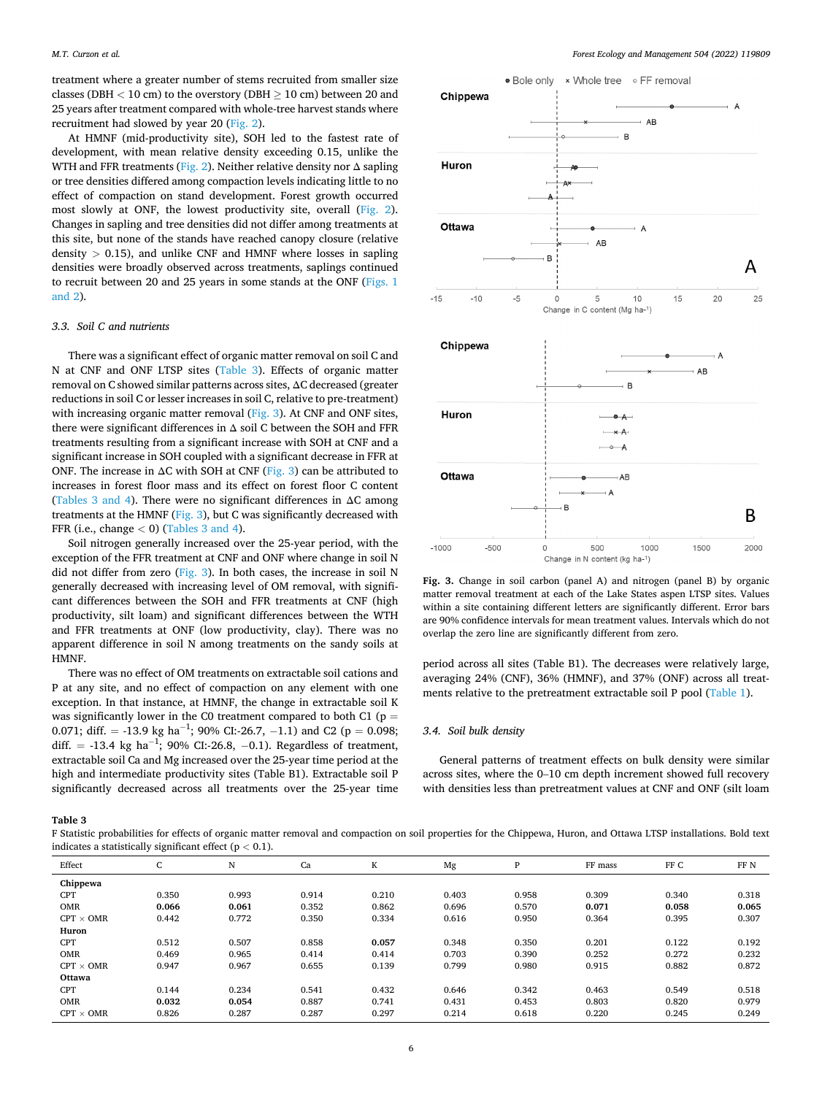treatment where a greater number of stems recruited from smaller size classes (DBH *<* 10 cm) to the overstory (DBH ≥ 10 cm) between 20 and 25 years after treatment compared with whole-tree harvest stands where recruitment had slowed by year 20 ([Fig. 2\)](#page-4-0).

At HMNF (mid-productivity site), SOH led to the fastest rate of development, with mean relative density exceeding 0.15, unlike the WTH and FFR treatments ([Fig. 2](#page-4-0)). Neither relative density nor  $\Delta$  sapling or tree densities differed among compaction levels indicating little to no effect of compaction on stand development. Forest growth occurred most slowly at ONF, the lowest productivity site, overall [\(Fig. 2](#page-4-0)). Changes in sapling and tree densities did not differ among treatments at this site, but none of the stands have reached canopy closure (relative density *>* 0.15), and unlike CNF and HMNF where losses in sapling densities were broadly observed across treatments, saplings continued to recruit between 20 and 25 years in some stands at the ONF [\(Figs. 1](#page-3-0)  [and 2\)](#page-3-0).

### *3.3. Soil C and nutrients*

There was a significant effect of organic matter removal on soil C and N at CNF and ONF LTSP sites (Table 3). Effects of organic matter removal on C showed similar patterns across sites, ΔC decreased (greater reductions in soil C or lesser increases in soil C, relative to pre-treatment) with increasing organic matter removal (Fig. 3). At CNF and ONF sites, there were significant differences in Δ soil C between the SOH and FFR treatments resulting from a significant increase with SOH at CNF and a significant increase in SOH coupled with a significant decrease in FFR at ONF. The increase in  $\Delta C$  with SOH at CNF [\(Fig. 3](#page-4-0)) can be attributed to increases in forest floor mass and its effect on forest floor C content (Tables 3 and 4). There were no significant differences in  $\Delta C$  among treatments at the HMNF (Fig. 3), but C was significantly decreased with FFR (i.e., change *<* 0) (Tables 3 and 4).

Soil nitrogen generally increased over the 25-year period, with the exception of the FFR treatment at CNF and ONF where change in soil N did not differ from zero (Fig. 3). In both cases, the increase in soil N generally decreased with increasing level of OM removal, with significant differences between the SOH and FFR treatments at CNF (high productivity, silt loam) and significant differences between the WTH and FFR treatments at ONF (low productivity, clay). There was no apparent difference in soil N among treatments on the sandy soils at HMNF.

There was no effect of OM treatments on extractable soil cations and P at any site, and no effect of compaction on any element with one exception. In that instance, at HMNF, the change in extractable soil K was significantly lower in the C0 treatment compared to both C1 (p  $\!=$ 0.071; diff. = -13.9 kg ha<sup>-1</sup>; 90% CI:-26.7, -1.1) and C2 ( $p = 0.098$ ; diff. = -13.4 kg ha<sup>-1</sup>; 90% CI:-26.8, -0.1). Regardless of treatment, extractable soil Ca and Mg increased over the 25-year time period at the high and intermediate productivity sites (Table B1). Extractable soil P significantly decreased across all treatments over the 25-year time



**Fig. 3.** Change in soil carbon (panel A) and nitrogen (panel B) by organic matter removal treatment at each of the Lake States aspen LTSP sites. Values within a site containing different letters are significantly different. Error bars are 90% confidence intervals for mean treatment values. Intervals which do not overlap the zero line are significantly different from zero.

period across all sites (Table B1). The decreases were relatively large, averaging 24% (CNF), 36% (HMNF), and 37% (ONF) across all treatments relative to the pretreatment extractable soil P pool [\(Table 1\)](#page-2-0).

### *3.4. Soil bulk density*

General patterns of treatment effects on bulk density were similar across sites, where the 0–10 cm depth increment showed full recovery with densities less than pretreatment values at CNF and ONF (silt loam

**Table 3** 

F Statistic probabilities for effects of organic matter removal and compaction on soil properties for the Chippewa, Huron, and Ottawa LTSP installations. Bold text indicates a statistically significant effect (p *<* 0.1).

| Effect           | $\sqrt{2}$<br>U | N     | Ca    | K     | Mg    | P     | FF mass | FF C  | FF N  |
|------------------|-----------------|-------|-------|-------|-------|-------|---------|-------|-------|
| Chippewa         |                 |       |       |       |       |       |         |       |       |
| <b>CPT</b>       | 0.350           | 0.993 | 0.914 | 0.210 | 0.403 | 0.958 | 0.309   | 0.340 | 0.318 |
| <b>OMR</b>       | 0.066           | 0.061 | 0.352 | 0.862 | 0.696 | 0.570 | 0.071   | 0.058 | 0.065 |
| $CPT \times OMR$ | 0.442           | 0.772 | 0.350 | 0.334 | 0.616 | 0.950 | 0.364   | 0.395 | 0.307 |
| Huron            |                 |       |       |       |       |       |         |       |       |
| <b>CPT</b>       | 0.512           | 0.507 | 0.858 | 0.057 | 0.348 | 0.350 | 0.201   | 0.122 | 0.192 |
| <b>OMR</b>       | 0.469           | 0.965 | 0.414 | 0.414 | 0.703 | 0.390 | 0.252   | 0.272 | 0.232 |
| $CPT \times OMR$ | 0.947           | 0.967 | 0.655 | 0.139 | 0.799 | 0.980 | 0.915   | 0.882 | 0.872 |
| Ottawa           |                 |       |       |       |       |       |         |       |       |
| <b>CPT</b>       | 0.144           | 0.234 | 0.541 | 0.432 | 0.646 | 0.342 | 0.463   | 0.549 | 0.518 |
| <b>OMR</b>       | 0.032           | 0.054 | 0.887 | 0.741 | 0.431 | 0.453 | 0.803   | 0.820 | 0.979 |
| $CPT \times OMR$ | 0.826           | 0.287 | 0.287 | 0.297 | 0.214 | 0.618 | 0.220   | 0.245 | 0.249 |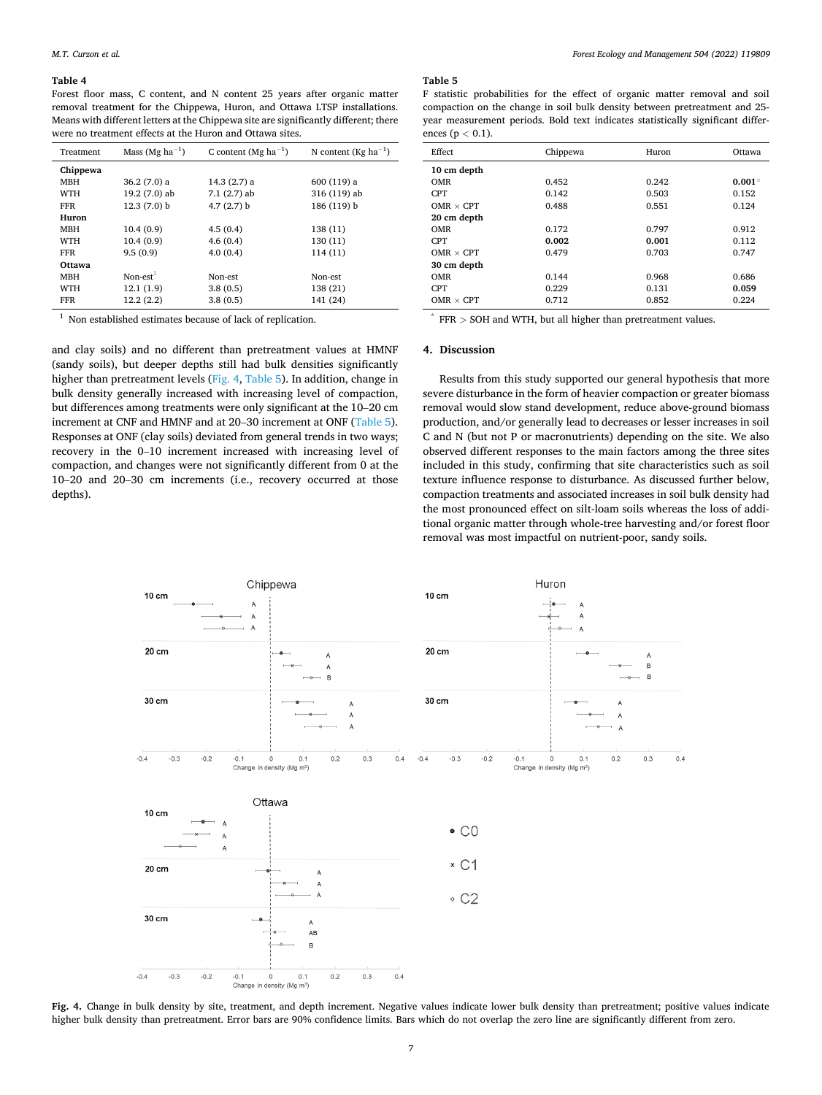### <span id="page-6-0"></span>**Table 4**

Forest floor mass, C content, and N content 25 years after organic matter removal treatment for the Chippewa, Huron, and Ottawa LTSP installations. Means with different letters at the Chippewa site are significantly different; there were no treatment effects at the Huron and Ottawa sites.

| Treatment  | Mass (Mg ha <sup>-1</sup> ) | C content (Mg ha <sup>-1</sup> ) | N content (Kg ha <sup>-1</sup> ) |
|------------|-----------------------------|----------------------------------|----------------------------------|
| Chippewa   |                             |                                  |                                  |
| MBH        | $36.2(7.0)$ a               | 14.3(2.7) a                      | $600(119)$ a                     |
| <b>WTH</b> | 19.2 (7.0) ab               | $7.1(2.7)$ ab                    | 316 (119) ab                     |
| <b>FFR</b> | $12.3(7.0)$ b               | $4.7(2.7)$ b                     | 186 (119) b                      |
| Huron      |                             |                                  |                                  |
| MBH        | 10.4(0.9)                   | 4.5(0.4)                         | 138 (11)                         |
| <b>WTH</b> | 10.4(0.9)                   | 4.6(0.4)                         | 130 (11)                         |
| <b>FFR</b> | 9.5(0.9)                    | 4.0(0.4)                         | 114 (11)                         |
| Ottawa     |                             |                                  |                                  |
| <b>MBH</b> | Non- $est1$                 | Non-est                          | Non-est                          |
| <b>WTH</b> | 12.1(1.9)                   | 3.8(0.5)                         | 138 (21)                         |
| <b>FFR</b> | 12.2(2.2)                   | 3.8(0.5)                         | 141 (24)                         |

<sup>1</sup> Non established estimates because of lack of replication.

and clay soils) and no different than pretreatment values at HMNF (sandy soils), but deeper depths still had bulk densities significantly higher than pretreatment levels (Fig. 4, Table 5). In addition, change in bulk density generally increased with increasing level of compaction, but differences among treatments were only significant at the 10–20 cm increment at CNF and HMNF and at 20–30 increment at ONF (Table 5). Responses at ONF (clay soils) deviated from general trends in two ways; recovery in the 0–10 increment increased with increasing level of compaction, and changes were not significantly different from 0 at the 10–20 and 20–30 cm increments (i.e., recovery occurred at those depths).

### **Table 5**

F statistic probabilities for the effect of organic matter removal and soil compaction on the change in soil bulk density between pretreatment and 25 year measurement periods. Bold text indicates statistically significant differences (p *<* 0.1).

| Effect           | Chippewa | Huron | Ottawa   |
|------------------|----------|-------|----------|
| 10 cm depth      |          |       |          |
| <b>OMR</b>       | 0.452    | 0.242 | $0.001*$ |
| <b>CPT</b>       | 0.142    | 0.503 | 0.152    |
| $OMR \times CPT$ | 0.488    | 0.551 | 0.124    |
| 20 cm depth      |          |       |          |
| <b>OMR</b>       | 0.172    | 0.797 | 0.912    |
| <b>CPT</b>       | 0.002    | 0.001 | 0.112    |
| $OMR \times CPT$ | 0.479    | 0.703 | 0.747    |
| 30 cm depth      |          |       |          |
| <b>OMR</b>       | 0.144    | 0.968 | 0.686    |
| <b>CPT</b>       | 0.229    | 0.131 | 0.059    |
| $OMR \times CPT$ | 0.712    | 0.852 | 0.224    |

FFR > SOH and WTH, but all higher than pretreatment values.

# **4. Discussion**

Results from this study supported our general hypothesis that more severe disturbance in the form of heavier compaction or greater biomass removal would slow stand development, reduce above-ground biomass production, and/or generally lead to decreases or lesser increases in soil C and N (but not P or macronutrients) depending on the site. We also observed different responses to the main factors among the three sites included in this study, confirming that site characteristics such as soil texture influence response to disturbance. As discussed further below, compaction treatments and associated increases in soil bulk density had the most pronounced effect on silt-loam soils whereas the loss of additional organic matter through whole-tree harvesting and/or forest floor removal was most impactful on nutrient-poor, sandy soils.



**Fig. 4.** Change in bulk density by site, treatment, and depth increment. Negative values indicate lower bulk density than pretreatment; positive values indicate higher bulk density than pretreatment. Error bars are 90% confidence limits. Bars which do not overlap the zero line are significantly different from zero.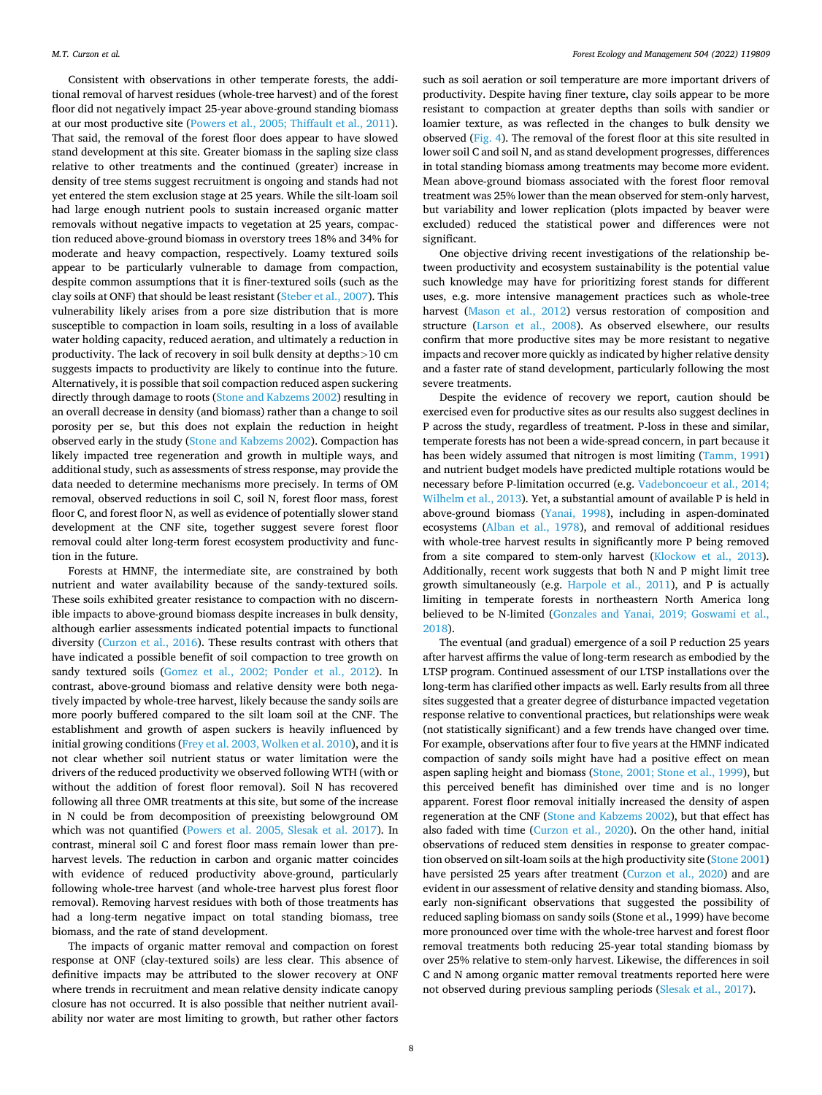Consistent with observations in other temperate forests, the additional removal of harvest residues (whole-tree harvest) and of the forest floor did not negatively impact 25-year above-ground standing biomass at our most productive site [\(Powers et al., 2005; Thiffault et al., 2011](#page-9-0)). That said, the removal of the forest floor does appear to have slowed stand development at this site. Greater biomass in the sapling size class relative to other treatments and the continued (greater) increase in density of tree stems suggest recruitment is ongoing and stands had not yet entered the stem exclusion stage at 25 years. While the silt-loam soil had large enough nutrient pools to sustain increased organic matter removals without negative impacts to vegetation at 25 years, compaction reduced above-ground biomass in overstory trees 18% and 34% for moderate and heavy compaction, respectively. Loamy textured soils appear to be particularly vulnerable to damage from compaction, despite common assumptions that it is finer-textured soils (such as the clay soils at ONF) that should be least resistant ([Steber et al., 2007\)](#page-9-0). This vulnerability likely arises from a pore size distribution that is more susceptible to compaction in loam soils, resulting in a loss of available water holding capacity, reduced aeration, and ultimately a reduction in productivity. The lack of recovery in soil bulk density at depths*>*10 cm suggests impacts to productivity are likely to continue into the future. Alternatively, it is possible that soil compaction reduced aspen suckering directly through damage to roots ([Stone and Kabzems 2002](#page-9-0)) resulting in an overall decrease in density (and biomass) rather than a change to soil porosity per se, but this does not explain the reduction in height observed early in the study [\(Stone and Kabzems 2002](#page-9-0)). Compaction has likely impacted tree regeneration and growth in multiple ways, and additional study, such as assessments of stress response, may provide the data needed to determine mechanisms more precisely. In terms of OM removal, observed reductions in soil C, soil N, forest floor mass, forest floor C, and forest floor N, as well as evidence of potentially slower stand development at the CNF site, together suggest severe forest floor removal could alter long-term forest ecosystem productivity and function in the future.

Forests at HMNF, the intermediate site, are constrained by both nutrient and water availability because of the sandy-textured soils. These soils exhibited greater resistance to compaction with no discernible impacts to above-ground biomass despite increases in bulk density, although earlier assessments indicated potential impacts to functional diversity [\(Curzon et al., 2016](#page-8-0)). These results contrast with others that have indicated a possible benefit of soil compaction to tree growth on sandy textured soils [\(Gomez et al., 2002; Ponder et al., 2012\)](#page-8-0). In contrast, above-ground biomass and relative density were both negatively impacted by whole-tree harvest, likely because the sandy soils are more poorly buffered compared to the silt loam soil at the CNF. The establishment and growth of aspen suckers is heavily influenced by initial growing conditions [\(Frey et al. 2003, Wolken et al. 2010\)](#page-8-0), and it is not clear whether soil nutrient status or water limitation were the drivers of the reduced productivity we observed following WTH (with or without the addition of forest floor removal). Soil N has recovered following all three OMR treatments at this site, but some of the increase in N could be from decomposition of preexisting belowground OM which was not quantified ([Powers et al. 2005, Slesak et al. 2017](#page-9-0)). In contrast, mineral soil C and forest floor mass remain lower than preharvest levels. The reduction in carbon and organic matter coincides with evidence of reduced productivity above-ground, particularly following whole-tree harvest (and whole-tree harvest plus forest floor removal). Removing harvest residues with both of those treatments has had a long-term negative impact on total standing biomass, tree biomass, and the rate of stand development.

The impacts of organic matter removal and compaction on forest response at ONF (clay-textured soils) are less clear. This absence of definitive impacts may be attributed to the slower recovery at ONF where trends in recruitment and mean relative density indicate canopy closure has not occurred. It is also possible that neither nutrient availability nor water are most limiting to growth, but rather other factors

such as soil aeration or soil temperature are more important drivers of productivity. Despite having finer texture, clay soils appear to be more resistant to compaction at greater depths than soils with sandier or loamier texture, as was reflected in the changes to bulk density we observed ([Fig. 4](#page-6-0)). The removal of the forest floor at this site resulted in lower soil C and soil N, and as stand development progresses, differences in total standing biomass among treatments may become more evident. Mean above-ground biomass associated with the forest floor removal treatment was 25% lower than the mean observed for stem-only harvest, but variability and lower replication (plots impacted by beaver were excluded) reduced the statistical power and differences were not significant.

One objective driving recent investigations of the relationship between productivity and ecosystem sustainability is the potential value such knowledge may have for prioritizing forest stands for different uses, e.g. more intensive management practices such as whole-tree harvest [\(Mason et al., 2012](#page-9-0)) versus restoration of composition and structure ([Larson et al., 2008\)](#page-8-0). As observed elsewhere, our results confirm that more productive sites may be more resistant to negative impacts and recover more quickly as indicated by higher relative density and a faster rate of stand development, particularly following the most severe treatments.

Despite the evidence of recovery we report, caution should be exercised even for productive sites as our results also suggest declines in P across the study, regardless of treatment. P-loss in these and similar, temperate forests has not been a wide-spread concern, in part because it has been widely assumed that nitrogen is most limiting [\(Tamm, 1991\)](#page-9-0) and nutrient budget models have predicted multiple rotations would be necessary before P-limitation occurred (e.g. [Vadeboncoeur et al., 2014;](#page-9-0)  [Wilhelm et al., 2013\)](#page-9-0). Yet, a substantial amount of available P is held in above-ground biomass ([Yanai, 1998](#page-9-0)), including in aspen-dominated ecosystems [\(Alban et al., 1978](#page-8-0)), and removal of additional residues with whole-tree harvest results in significantly more P being removed from a site compared to stem-only harvest [\(Klockow et al., 2013](#page-8-0)). Additionally, recent work suggests that both N and P might limit tree growth simultaneously (e.g. [Harpole et al., 2011](#page-8-0)), and P is actually limiting in temperate forests in northeastern North America long believed to be N-limited [\(Gonzales and Yanai, 2019; Goswami et al.,](#page-8-0)  [2018\)](#page-8-0).

The eventual (and gradual) emergence of a soil P reduction 25 years after harvest affirms the value of long-term research as embodied by the LTSP program. Continued assessment of our LTSP installations over the long-term has clarified other impacts as well. Early results from all three sites suggested that a greater degree of disturbance impacted vegetation response relative to conventional practices, but relationships were weak (not statistically significant) and a few trends have changed over time. For example, observations after four to five years at the HMNF indicated compaction of sandy soils might have had a positive effect on mean aspen sapling height and biomass [\(Stone, 2001; Stone et al., 1999\)](#page-9-0), but this perceived benefit has diminished over time and is no longer apparent. Forest floor removal initially increased the density of aspen regeneration at the CNF ([Stone and Kabzems 2002\)](#page-9-0), but that effect has also faded with time ([Curzon et al., 2020](#page-8-0)). On the other hand, initial observations of reduced stem densities in response to greater compaction observed on silt-loam soils at the high productivity site ([Stone 2001\)](#page-9-0) have persisted 25 years after treatment [\(Curzon et al., 2020](#page-8-0)) and are evident in our assessment of relative density and standing biomass. Also, early non-significant observations that suggested the possibility of reduced sapling biomass on sandy soils (Stone et al., 1999) have become more pronounced over time with the whole-tree harvest and forest floor removal treatments both reducing 25-year total standing biomass by over 25% relative to stem-only harvest. Likewise, the differences in soil C and N among organic matter removal treatments reported here were not observed during previous sampling periods [\(Slesak et al., 2017\)](#page-9-0).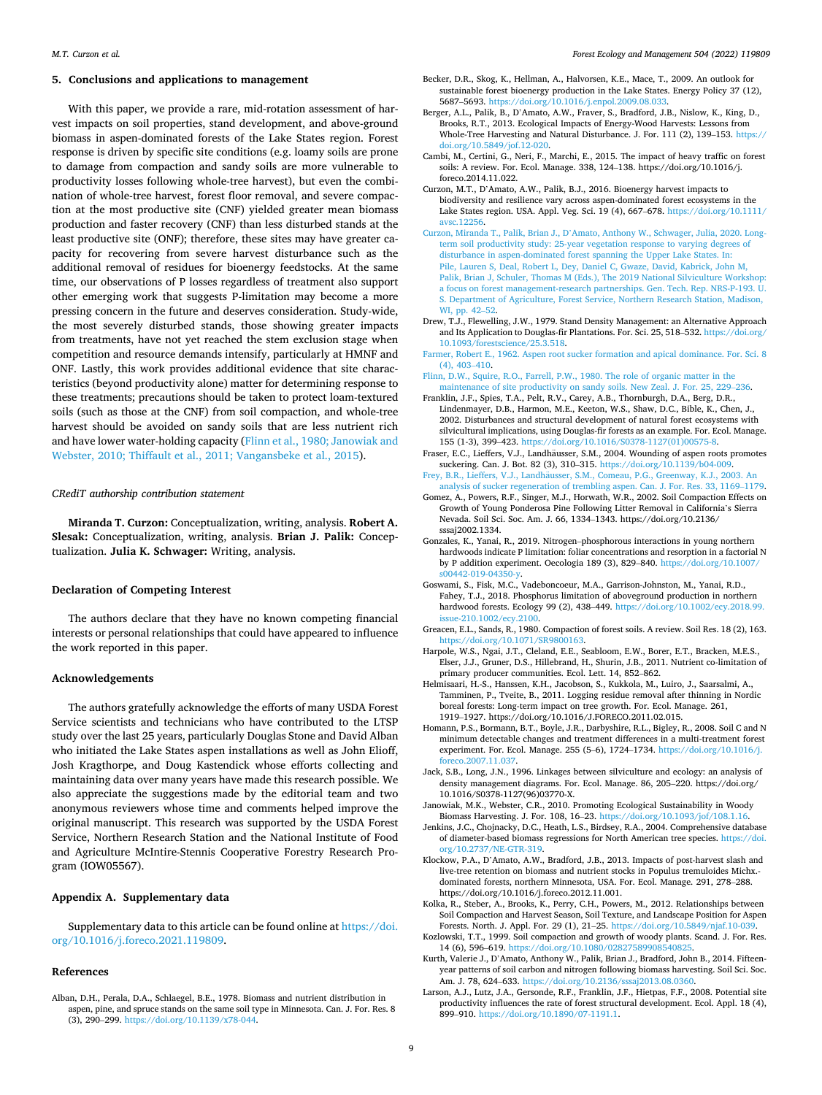### <span id="page-8-0"></span>**5. Conclusions and applications to management**

With this paper, we provide a rare, mid-rotation assessment of harvest impacts on soil properties, stand development, and above-ground biomass in aspen-dominated forests of the Lake States region. Forest response is driven by specific site conditions (e.g. loamy soils are prone to damage from compaction and sandy soils are more vulnerable to productivity losses following whole-tree harvest), but even the combination of whole-tree harvest, forest floor removal, and severe compaction at the most productive site (CNF) yielded greater mean biomass production and faster recovery (CNF) than less disturbed stands at the least productive site (ONF); therefore, these sites may have greater capacity for recovering from severe harvest disturbance such as the additional removal of residues for bioenergy feedstocks. At the same time, our observations of P losses regardless of treatment also support other emerging work that suggests P-limitation may become a more pressing concern in the future and deserves consideration. Study-wide, the most severely disturbed stands, those showing greater impacts from treatments, have not yet reached the stem exclusion stage when competition and resource demands intensify, particularly at HMNF and ONF. Lastly, this work provides additional evidence that site characteristics (beyond productivity alone) matter for determining response to these treatments; precautions should be taken to protect loam-textured soils (such as those at the CNF) from soil compaction, and whole-tree harvest should be avoided on sandy soils that are less nutrient rich and have lower water-holding capacity (Flinn et al., 1980; Janowiak and Webster, 2010; Thiffault et al., 2011; Vangansbeke et al., 2015).

### *CRediT authorship contribution statement*

**Miranda T. Curzon:** Conceptualization, writing, analysis. **Robert A. Slesak:** Conceptualization, writing, analysis. **Brian J. Palik:** Conceptualization. **Julia K. Schwager:** Writing, analysis.

### **Declaration of Competing Interest**

The authors declare that they have no known competing financial interests or personal relationships that could have appeared to influence the work reported in this paper.

# **Acknowledgements**

The authors gratefully acknowledge the efforts of many USDA Forest Service scientists and technicians who have contributed to the LTSP study over the last 25 years, particularly Douglas Stone and David Alban who initiated the Lake States aspen installations as well as John Elioff, Josh Kragthorpe, and Doug Kastendick whose efforts collecting and maintaining data over many years have made this research possible. We also appreciate the suggestions made by the editorial team and two anonymous reviewers whose time and comments helped improve the original manuscript. This research was supported by the USDA Forest Service, Northern Research Station and the National Institute of Food and Agriculture McIntire-Stennis Cooperative Forestry Research Program (IOW05567).

# **Appendix A. Supplementary data**

Supplementary data to this article can be found online at [https://doi.](https://doi.org/10.1016/j.foreco.2021.119809)  [org/10.1016/j.foreco.2021.119809](https://doi.org/10.1016/j.foreco.2021.119809).

# **References**

Alban, D.H., Perala, D.A., Schlaegel, B.E., 1978. Biomass and nutrient distribution in aspen, pine, and spruce stands on the same soil type in Minnesota. Can. J. For. Res. 8 (3), 290–299.<https://doi.org/10.1139/x78-044>.

- Becker, D.R., Skog, K., Hellman, A., Halvorsen, K.E., Mace, T., 2009. An outlook for sustainable forest bioenergy production in the Lake States. Energy Policy 37 (12), 5687–5693.<https://doi.org/10.1016/j.enpol.2009.08.033>.
- Berger, A.L., Palik, B., D'Amato, A.W., Fraver, S., Bradford, J.B., Nislow, K., King, D., Brooks, R.T., 2013. Ecological Impacts of Energy-Wood Harvests: Lessons from Whole-Tree Harvesting and Natural Disturbance. J. For. 111 (2), 139–153. [https://](https://doi.org/10.5849/jof.12-020)  [doi.org/10.5849/jof.12-020](https://doi.org/10.5849/jof.12-020).
- Cambi, M., Certini, G., Neri, F., Marchi, E., 2015. The impact of heavy traffic on forest soils: A review. For. Ecol. Manage. 338, 124–138. https://doi.org/10.1016/j. foreco.2014.11.022.
- Curzon, M.T., D'Amato, A.W., Palik, B.J., 2016. Bioenergy harvest impacts to biodiversity and resilience vary across aspen-dominated forest ecosystems in the Lake States region. USA. Appl. Veg. Sci. 19 (4), 667–678. [https://doi.org/10.1111/](https://doi.org/10.1111/avsc.12256)  [avsc.12256](https://doi.org/10.1111/avsc.12256).
- Curzon, Miranda T., Palik, Brian J., D'[Amato, Anthony W., Schwager, Julia, 2020. Long](http://refhub.elsevier.com/S0378-1127(21)00900-2/opttPj6FYaDz7)[term soil productivity study: 25-year vegetation response to varying degrees of](http://refhub.elsevier.com/S0378-1127(21)00900-2/opttPj6FYaDz7) [disturbance in aspen-dominated forest spanning the Upper Lake States. In:](http://refhub.elsevier.com/S0378-1127(21)00900-2/opttPj6FYaDz7)  [Pile, Lauren S, Deal, Robert L, Dey, Daniel C, Gwaze, David, Kabrick, John M,](http://refhub.elsevier.com/S0378-1127(21)00900-2/opttPj6FYaDz7) [Palik, Brian J, Schuler, Thomas M \(Eds.\), The 2019 National Silviculture Workshop:](http://refhub.elsevier.com/S0378-1127(21)00900-2/opttPj6FYaDz7)  [a focus on forest management-research partnerships. Gen. Tech. Rep. NRS-P-193. U.](http://refhub.elsevier.com/S0378-1127(21)00900-2/opttPj6FYaDz7)  [S. Department of Agriculture, Forest Service, Northern Research Station, Madison,](http://refhub.elsevier.com/S0378-1127(21)00900-2/opttPj6FYaDz7) [WI, pp. 42](http://refhub.elsevier.com/S0378-1127(21)00900-2/opttPj6FYaDz7)–52.
- Drew, T.J., Flewelling, J.W., 1979. Stand Density Management: an Alternative Approach and Its Application to Douglas-fir Plantations. For. Sci. 25, 518–532. [https://doi.org/](https://doi.org/10.1093/forestscience/25.3.518)  [10.1093/forestscience/25.3.518](https://doi.org/10.1093/forestscience/25.3.518).
- [Farmer, Robert E., 1962. Aspen root sucker formation and apical dominance. For. Sci. 8](http://refhub.elsevier.com/S0378-1127(21)00900-2/opthJXHU9nfz1)  [\(4\), 403](http://refhub.elsevier.com/S0378-1127(21)00900-2/opthJXHU9nfz1)–410.
- [Flinn, D.W., Squire, R.O., Farrell, P.W., 1980. The role of organic matter in the](http://refhub.elsevier.com/S0378-1127(21)00900-2/h0035) [maintenance of site productivity on sandy soils. New Zeal. J. For. 25, 229](http://refhub.elsevier.com/S0378-1127(21)00900-2/h0035)–236.
- Franklin, J.F., Spies, T.A., Pelt, R.V., Carey, A.B., Thornburgh, D.A., Berg, D.R., Lindenmayer, D.B., Harmon, M.E., Keeton, W.S., Shaw, D.C., Bible, K., Chen, J. 2002. Disturbances and structural development of natural forest ecosystems with silvicultural implications, using Douglas-fir forests as an example. For. Ecol. Manage. 155 (1-3), 399–423. [https://doi.org/10.1016/S0378-1127\(01\)00575-8](https://doi.org/10.1016/S0378-1127(01)00575-8).
- Fraser, E.C., Lieffers, V.J., Landhäusser, S.M., 2004. Wounding of aspen roots promotes suckering. Can. J. Bot. 82 (3), 310–315. <https://doi.org/10.1139/b04-009>.
- Frey, B.R., Lieffers, V.J., Landhäusser, S.M., Comeau, P.G., Greenway, K.J., 2003. An [analysis of sucker regeneration of trembling aspen. Can. J. For. Res. 33, 1169](http://refhub.elsevier.com/S0378-1127(21)00900-2/h0050)–1179.
- Gomez, A., Powers, R.F., Singer, M.J., Horwath, W.R., 2002. Soil Compaction Effects on Growth of Young Ponderosa Pine Following Litter Removal in California's Sierra Nevada. Soil Sci. Soc. Am. J. 66, 1334–1343. https://doi.org/10.2136/ sssaj2002.1334.
- Gonzales, K., Yanai, R., 2019. Nitrogen–phosphorous interactions in young northern hardwoods indicate P limitation: foliar concentrations and resorption in a factorial N by P addition experiment. Oecologia 189 (3), 829–840. [https://doi.org/10.1007/](https://doi.org/10.1007/s00442-019-04350-y)  [s00442-019-04350-y](https://doi.org/10.1007/s00442-019-04350-y).
- Goswami, S., Fisk, M.C., Vadeboncoeur, M.A., Garrison-Johnston, M., Yanai, R.D., Fahey, T.J., 2018. Phosphorus limitation of aboveground production in northern hardwood forests. Ecology 99 (2), 438–449. [https://doi.org/10.1002/ecy.2018.99.](https://doi.org/10.1002/ecy.2018.99.issue-210.1002/ecy.2100) [issue-210.1002/ecy.2100](https://doi.org/10.1002/ecy.2018.99.issue-210.1002/ecy.2100).
- Greacen, E.L., Sands, R., 1980. Compaction of forest soils. A review. Soil Res. 18 (2), 163. [https://doi.org/10.1071/SR9800163.](https://doi.org/10.1071/SR9800163)
- Harpole, W.S., Ngai, J.T., Cleland, E.E., Seabloom, E.W., Borer, E.T., Bracken, M.E.S., Elser, J.J., Gruner, D.S., Hillebrand, H., Shurin, J.B., 2011. Nutrient co-limitation of primary producer communities. Ecol. Lett. 14, 852–862.
- Helmisaari, H.-S., Hanssen, K.H., Jacobson, S., Kukkola, M., Luiro, J., Saarsalmi, A., Tamminen, P., Tveite, B., 2011. Logging residue removal after thinning in Nordic boreal forests: Long-term impact on tree growth. For. Ecol. Manage. 261, 1919–1927. https://doi.org/10.1016/J.FORECO.2011.02.015.
- Homann, P.S., Bormann, B.T., Boyle, J.R., Darbyshire, R.L., Bigley, R., 2008. Soil C and N minimum detectable changes and treatment differences in a multi-treatment forest experiment. For. Ecol. Manage. 255 (5–6), 1724–1734. [https://doi.org/10.1016/j.](https://doi.org/10.1016/j.foreco.2007.11.037)  [foreco.2007.11.037.](https://doi.org/10.1016/j.foreco.2007.11.037)
- Jack, S.B., Long, J.N., 1996. Linkages between silviculture and ecology: an analysis of density management diagrams. For. Ecol. Manage. 86, 205–220. https://doi.org/ 10.1016/S0378-1127(96)03770-X.
- Janowiak, M.K., Webster, C.R., 2010. Promoting Ecological Sustainability in Woody Biomass Harvesting. J. For. 108, 16–23. <https://doi.org/10.1093/jof/108.1.16>.
- Jenkins, J.C., Chojnacky, D.C., Heath, L.S., Birdsey, R.A., 2004. Comprehensive database of diameter-based biomass regressions for North American tree species. [https://doi.](https://doi.org/10.2737/NE-GTR-319)  [org/10.2737/NE-GTR-319.](https://doi.org/10.2737/NE-GTR-319)
- Klockow, P.A., D'Amato, A.W., Bradford, J.B., 2013. Impacts of post-harvest slash and live-tree retention on biomass and nutrient stocks in Populus tremuloides Michx. dominated forests, northern Minnesota, USA. For. Ecol. Manage. 291, 278–288. https://doi.org/10.1016/j.foreco.2012.11.001.
- Kolka, R., Steber, A., Brooks, K., Perry, C.H., Powers, M., 2012. Relationships between Soil Compaction and Harvest Season, Soil Texture, and Landscape Position for Aspen Forests. North. J. Appl. For. 29 (1), 21–25. <https://doi.org/10.5849/njaf.10-039>.
- Kozlowski, T.T., 1999. Soil compaction and growth of woody plants. Scand. J. For. Res. 14 (6), 596–619. [https://doi.org/10.1080/02827589908540825.](https://doi.org/10.1080/02827589908540825)
- Kurth, Valerie J., D'Amato, Anthony W., Palik, Brian J., Bradford, John B., 2014. Fifteenyear patterns of soil carbon and nitrogen following biomass harvesting. Soil Sci. Soc. Am. J. 78, 624–633. [https://doi.org/10.2136/sssaj2013.08.0360.](https://doi.org/10.2136/sssaj2013.08.0360)
- Larson, A.J., Lutz, J.A., Gersonde, R.F., Franklin, J.F., Hietpas, F.F., 2008. Potential site productivity influences the rate of forest structural development. Ecol. Appl. 18 (4), 899–910. [https://doi.org/10.1890/07-1191.1.](https://doi.org/10.1890/07-1191.1)